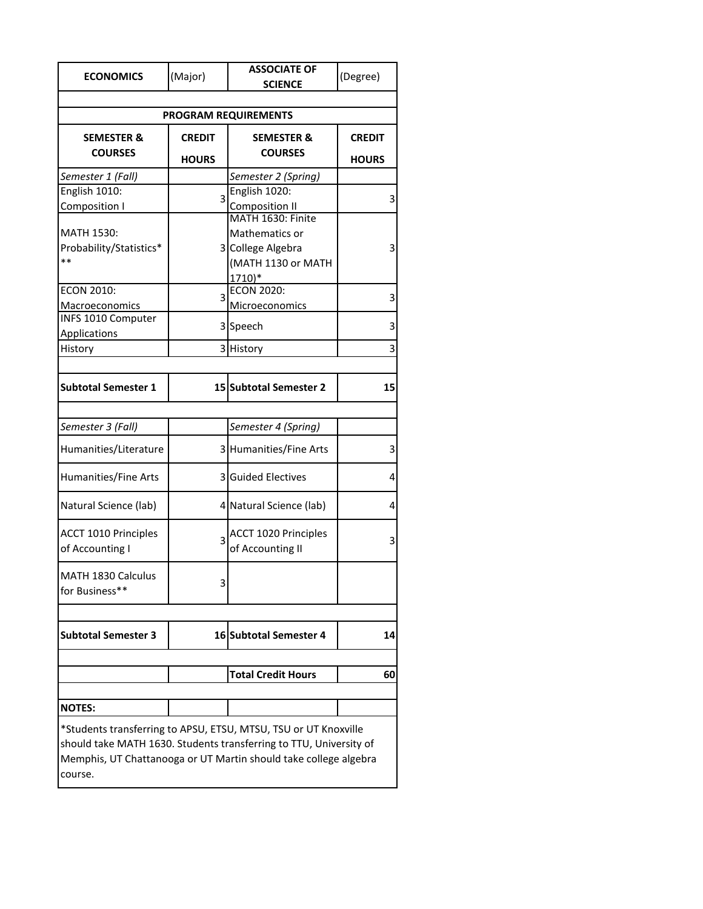| <b>ECONOMICS</b>                                                                                                                                                                                                     | (Major)       | <b>ASSOCIATE OF</b><br><b>SCIENCE</b> | (Degree)      |
|----------------------------------------------------------------------------------------------------------------------------------------------------------------------------------------------------------------------|---------------|---------------------------------------|---------------|
|                                                                                                                                                                                                                      |               |                                       |               |
| PROGRAM REQUIREMENTS                                                                                                                                                                                                 |               |                                       |               |
| <b>SEMESTER &amp;</b>                                                                                                                                                                                                | <b>CREDIT</b> | <b>SEMESTER &amp;</b>                 | <b>CREDIT</b> |
| <b>COURSES</b>                                                                                                                                                                                                       | <b>HOURS</b>  | <b>COURSES</b>                        | <b>HOURS</b>  |
| Semester 1 (Fall)                                                                                                                                                                                                    |               | Semester 2 (Spring)                   |               |
| English 1010:                                                                                                                                                                                                        | 3             | English 1020:                         | 3             |
| Composition I                                                                                                                                                                                                        |               | <b>Composition II</b>                 |               |
|                                                                                                                                                                                                                      |               | MATH 1630: Finite                     |               |
| MATH 1530:                                                                                                                                                                                                           |               | Mathematics or                        |               |
| Probability/Statistics*                                                                                                                                                                                              |               | 3 College Algebra                     | 3             |
| $***$                                                                                                                                                                                                                |               | (MATH 1130 or MATH                    |               |
|                                                                                                                                                                                                                      |               | $1710)*$                              |               |
| <b>ECON 2010:</b>                                                                                                                                                                                                    | 3             | <b>ECON 2020:</b>                     | 3             |
| Macroeconomics                                                                                                                                                                                                       |               | Microeconomics                        |               |
| INFS 1010 Computer<br>Applications                                                                                                                                                                                   |               | 3 Speech                              | 3             |
| History                                                                                                                                                                                                              |               | 3 History                             | 3             |
|                                                                                                                                                                                                                      |               |                                       |               |
| <b>Subtotal Semester 1</b>                                                                                                                                                                                           |               | 15 Subtotal Semester 2                | 15            |
|                                                                                                                                                                                                                      |               |                                       |               |
| Semester 3 (Fall)                                                                                                                                                                                                    |               | Semester 4 (Spring)                   |               |
| Humanities/Literature                                                                                                                                                                                                |               | 3 Humanities/Fine Arts                | 3             |
| Humanities/Fine Arts                                                                                                                                                                                                 |               | <b>3</b> Guided Electives             | 4             |
| Natural Science (lab)                                                                                                                                                                                                |               | 4 Natural Science (lab)               | 4             |
| <b>ACCT 1010 Principles</b>                                                                                                                                                                                          |               | ACCT 1020 Principles                  |               |
| of Accounting I                                                                                                                                                                                                      | 3             | of Accounting II                      | 3             |
| MATH 1830 Calculus<br>for Business**                                                                                                                                                                                 | 3             |                                       |               |
|                                                                                                                                                                                                                      |               |                                       |               |
| <b>Subtotal Semester 3</b>                                                                                                                                                                                           |               | <b>16 Subtotal Semester 4</b>         | 14            |
|                                                                                                                                                                                                                      |               | <b>Total Credit Hours</b>             | 60            |
|                                                                                                                                                                                                                      |               |                                       |               |
| <b>NOTES:</b>                                                                                                                                                                                                        |               |                                       |               |
| *Students transferring to APSU, ETSU, MTSU, TSU or UT Knoxville<br>should take MATH 1630. Students transferring to TTU, University of<br>Memphis, UT Chattanooga or UT Martin should take college algebra<br>course. |               |                                       |               |